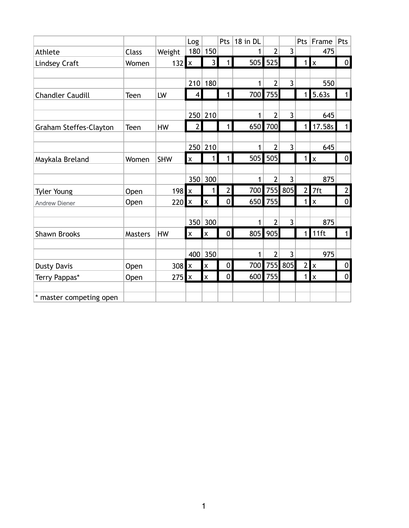|                               |                |            | Log                       |                           | Pts            | 18 in DL |                |                | Pts            | Frame        | Pts              |
|-------------------------------|----------------|------------|---------------------------|---------------------------|----------------|----------|----------------|----------------|----------------|--------------|------------------|
| Athlete                       | <b>Class</b>   | Weight     | 180                       | 150                       |                | 1        | $\overline{2}$ | 3              |                | 475          |                  |
| <b>Lindsey Craft</b>          | Women          | 132        | $\mathsf{x}$              | $\overline{3}$            | $\mathbf{1}$   |          | 505 525        |                | 1 <sup>1</sup> | <b>x</b>     | $\mathbf 0$      |
|                               |                |            |                           |                           |                |          |                |                |                |              |                  |
|                               |                |            | 210                       | 180                       |                | 1        | $\overline{2}$ | 3              |                | 550          |                  |
| <b>Chandler Caudill</b>       | Teen           | LW         | 4                         |                           | 1              | 700      | 755            |                | 1              | 5.63s        | $\mathbf{1}$     |
|                               |                |            |                           |                           |                |          |                |                |                |              |                  |
|                               |                |            |                           | 250 210                   |                | 1        | $\overline{2}$ | $\overline{3}$ |                | 645          |                  |
| <b>Graham Steffes-Clayton</b> | Teen           | HW         | $\overline{2}$            |                           | $\mathbf{1}$   | 650      | 700            |                | 1              | 17.58s       | $\mathbf{1}$     |
|                               |                |            |                           |                           |                |          |                |                |                |              |                  |
|                               |                |            |                           | 250 210                   |                | 1        | $\overline{2}$ | 3              |                | 645          |                  |
| Maykala Breland               | Women          | <b>SHW</b> | $\mathsf{\overline{x}}$   | 1                         | $\mathbf{1}$   | 505      | 505            |                | 1 <sup>1</sup> | $\mathsf{x}$ | $\overline{0}$   |
|                               |                |            |                           |                           |                |          |                |                |                |              |                  |
|                               |                |            |                           | 350 300                   |                | 1        | $\overline{2}$ | 3              |                | 875          |                  |
| <b>Tyler Young</b>            | Open           | 198        | $\boldsymbol{\mathsf{x}}$ | 1                         | $\overline{2}$ | 700      |                | 755 805        | 2              | 7ft          | $\mathbf{2}$     |
| <b>Andrew Diener</b>          | Open           | 220        | x                         | $\pmb{\mathsf{x}}$        | $\overline{0}$ | 650      | 755            |                | 1              | $\mathsf{x}$ | $\pmb{0}$        |
|                               |                |            |                           |                           |                |          |                |                |                |              |                  |
|                               |                |            | 350                       | 300                       |                | 1        | $\overline{2}$ | 3              |                | 875          |                  |
| <b>Shawn Brooks</b>           | <b>Masters</b> | HW         | $\mathsf{x}$              | $\boldsymbol{\mathsf{x}}$ | 0              | 805      | 905            |                | 1 <sup>1</sup> | 11ft         | $\mathbf{1}$     |
|                               |                |            |                           |                           |                |          |                |                |                |              |                  |
|                               |                |            |                           | 400 350                   |                | 1        | $\overline{2}$ | 3              |                | 975          |                  |
| <b>Dusty Davis</b>            | Open           | 308        | $\pmb{\mathsf{x}}$        | $\boldsymbol{\mathsf{x}}$ | $\overline{0}$ | 700      |                | 755 805        | 2              | $\mathsf{x}$ | $\boldsymbol{0}$ |
| Terry Pappas*                 | Open           | 275        | $\pmb{\mathsf{x}}$        | $\boldsymbol{\mathsf{x}}$ | $\overline{0}$ | 600      | 755            |                | 1              | Ιx           | $\pmb{0}$        |
|                               |                |            |                           |                           |                |          |                |                |                |              |                  |
| * master competing open       |                |            |                           |                           |                |          |                |                |                |              |                  |